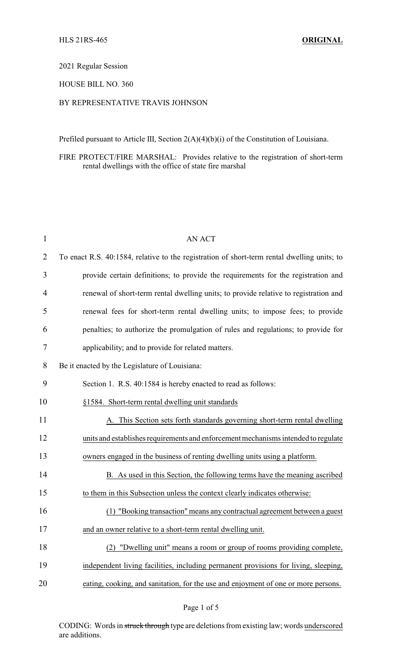## 2021 Regular Session

## HOUSE BILL NO. 360

## BY REPRESENTATIVE TRAVIS JOHNSON

Prefiled pursuant to Article III, Section 2(A)(4)(b)(i) of the Constitution of Louisiana.

FIRE PROTECT/FIRE MARSHAL: Provides relative to the registration of short-term rental dwellings with the office of state fire marshal

| $\mathbf{1}$   | <b>AN ACT</b>                                                                               |
|----------------|---------------------------------------------------------------------------------------------|
| $\overline{2}$ | To enact R.S. 40:1584, relative to the registration of short-term rental dwelling units; to |
| 3              | provide certain definitions; to provide the requirements for the registration and           |
| 4              | renewal of short-term rental dwelling units; to provide relative to registration and        |
| 5              | renewal fees for short-term rental dwelling units; to impose fees; to provide               |
| 6              | penalties; to authorize the promulgation of rules and regulations; to provide for           |
| $\overline{7}$ | applicability; and to provide for related matters.                                          |
| 8              | Be it enacted by the Legislature of Louisiana:                                              |
| 9              | Section 1. R.S. 40:1584 is hereby enacted to read as follows:                               |
| 10             | §1584. Short-term rental dwelling unit standards                                            |
| 11             | A. This Section sets forth standards governing short-term rental dwelling                   |
| 12             | units and establishes requirements and enforcement mechanisms intended to regulate          |
| 13             | owners engaged in the business of renting dwelling units using a platform.                  |
| 14             | B. As used in this Section, the following terms have the meaning ascribed                   |
| 15             | to them in this Subsection unless the context clearly indicates otherwise:                  |
| 16             | "Booking transaction" means any contractual agreement between a guest<br>(1)                |
| 17             | and an owner relative to a short-term rental dwelling unit.                                 |
| 18             | (2) "Dwelling unit" means a room or group of rooms providing complete,                      |
| 19             | independent living facilities, including permanent provisions for living, sleeping,         |
| 20             | eating, cooking, and sanitation, for the use and enjoyment of one or more persons.          |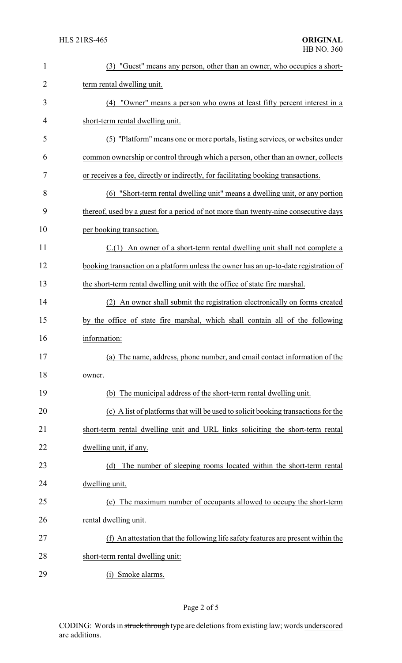| $\mathbf{1}$   | (3) "Guest" means any person, other than an owner, who occupies a short-             |
|----------------|--------------------------------------------------------------------------------------|
| $\overline{2}$ | term rental dwelling unit.                                                           |
| 3              | (4) "Owner" means a person who owns at least fifty percent interest in a             |
| 4              | short-term rental dwelling unit.                                                     |
| 5              | (5) "Platform" means one or more portals, listing services, or websites under        |
| 6              | common ownership or control through which a person, other than an owner, collects    |
| 7              | or receives a fee, directly or indirectly, for facilitating booking transactions.    |
| 8              | (6) "Short-term rental dwelling unit" means a dwelling unit, or any portion          |
| 9              | thereof, used by a guest for a period of not more than twenty-nine consecutive days  |
| 10             | per booking transaction.                                                             |
| 11             | C.(1) An owner of a short-term rental dwelling unit shall not complete a             |
| 12             | booking transaction on a platform unless the owner has an up-to-date registration of |
| 13             | the short-term rental dwelling unit with the office of state fire marshal.           |
| 14             | (2) An owner shall submit the registration electronically on forms created           |
| 15             | by the office of state fire marshal, which shall contain all of the following        |
| 16             | information:                                                                         |
| 17             | (a) The name, address, phone number, and email contact information of the            |
| 18             | owner.                                                                               |
| 19             | (b) The municipal address of the short-term rental dwelling unit.                    |
| 20             | (c) A list of platforms that will be used to solicit booking transactions for the    |
| 21             | short-term rental dwelling unit and URL links soliciting the short-term rental       |
| 22             | dwelling unit, if any.                                                               |
| 23             | The number of sleeping rooms located within the short-term rental<br>(d)             |
| 24             | dwelling unit.                                                                       |
| 25             | The maximum number of occupants allowed to occupy the short-term<br>(e)              |
| 26             | rental dwelling unit.                                                                |
| 27             | (f) An attestation that the following life safety features are present within the    |
| 28             | short-term rental dwelling unit:                                                     |
| 29             | (i) Smoke alarms.                                                                    |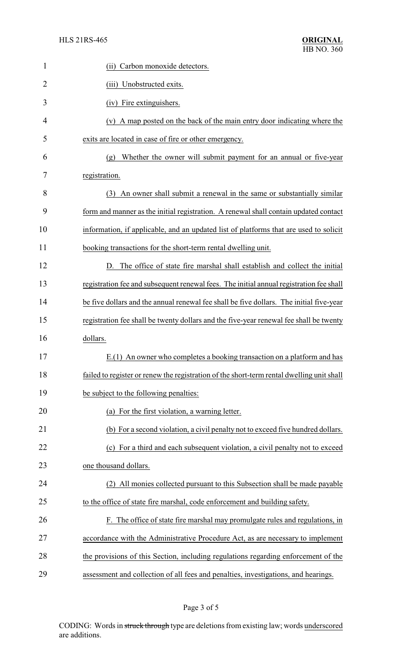| 1  | Carbon monoxide detectors.<br>(ii)                                                        |
|----|-------------------------------------------------------------------------------------------|
| 2  | (iii) Unobstructed exits.                                                                 |
| 3  | (iv) Fire extinguishers.                                                                  |
| 4  | (v) A map posted on the back of the main entry door indicating where the                  |
| 5  | exits are located in case of fire or other emergency.                                     |
| 6  | Whether the owner will submit payment for an annual or five-year<br>(g)                   |
| 7  | registration.                                                                             |
| 8  | (3) An owner shall submit a renewal in the same or substantially similar                  |
| 9  | form and manner as the initial registration. A renewal shall contain updated contact      |
| 10 | information, if applicable, and an updated list of platforms that are used to solicit     |
| 11 | booking transactions for the short-term rental dwelling unit.                             |
| 12 | D. The office of state fire marshal shall establish and collect the initial               |
| 13 | registration fee and subsequent renewal fees. The initial annual registration fee shall   |
| 14 | be five dollars and the annual renewal fee shall be five dollars. The initial five-year   |
| 15 | registration fee shall be twenty dollars and the five-year renewal fee shall be twenty    |
| 16 | dollars.                                                                                  |
| 17 | E.(1) An owner who completes a booking transaction on a platform and has                  |
| 18 | failed to register or renew the registration of the short-term rental dwelling unit shall |
| 19 | be subject to the following penalties:                                                    |
| 20 | (a) For the first violation, a warning letter.                                            |
| 21 | (b) For a second violation, a civil penalty not to exceed five hundred dollars.           |
| 22 | For a third and each subsequent violation, a civil penalty not to exceed<br>(c)           |
| 23 | one thousand dollars.                                                                     |
| 24 | (2) All monies collected pursuant to this Subsection shall be made payable                |
| 25 | to the office of state fire marshal, code enforcement and building safety.                |
| 26 | F. The office of state fire marshal may promulgate rules and regulations, in              |
| 27 | accordance with the Administrative Procedure Act, as are necessary to implement           |
| 28 | the provisions of this Section, including regulations regarding enforcement of the        |
| 29 | assessment and collection of all fees and penalties, investigations, and hearings.        |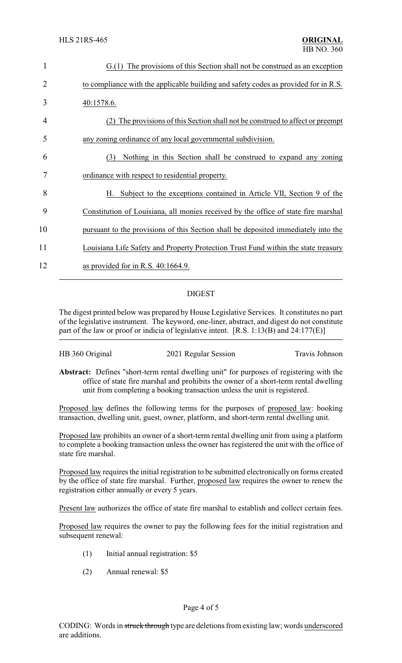| 1              | $G(1)$ The provisions of this Section shall not be construed as an exception        |
|----------------|-------------------------------------------------------------------------------------|
| $\overline{2}$ | to compliance with the applicable building and safety codes as provided for in R.S. |
| 3              | 40:1578.6.                                                                          |
| 4              | The provisions of this Section shall not be construed to affect or preempt          |
| 5              | any zoning ordinance of any local governmental subdivision.                         |
| 6              | Nothing in this Section shall be construed to expand any zoning<br>(3)              |
| 7              | ordinance with respect to residential property.                                     |
| 8              | Subject to the exceptions contained in Article VII, Section 9 of the<br>Н.          |
| 9              | Constitution of Louisiana, all monies received by the office of state fire marshal  |
| 10             | pursuant to the provisions of this Section shall be deposited immediately into the  |
| 11             | Louisiana Life Safety and Property Protection Trust Fund within the state treasury  |
| 12             | as provided for in R.S. $40:1664.9$ .                                               |
|                |                                                                                     |

## DIGEST

The digest printed below was prepared by House Legislative Services. It constitutes no part of the legislative instrument. The keyword, one-liner, abstract, and digest do not constitute part of the law or proof or indicia of legislative intent. [R.S. 1:13(B) and 24:177(E)]

| HB 360 Original<br>2021 Regular Session<br>Travis Johnson |
|-----------------------------------------------------------|
|-----------------------------------------------------------|

**Abstract:** Defines "short-term rental dwelling unit" for purposes of registering with the office of state fire marshal and prohibits the owner of a short-term rental dwelling unit from completing a booking transaction unless the unit is registered.

Proposed law defines the following terms for the purposes of proposed law: booking transaction, dwelling unit, guest, owner, platform, and short-term rental dwelling unit.

Proposed law prohibits an owner of a short-term rental dwelling unit from using a platform to complete a booking transaction unless the owner has registered the unit with the office of state fire marshal.

Proposed law requires the initial registration to be submitted electronically on forms created by the office of state fire marshal. Further, proposed law requires the owner to renew the registration either annually or every 5 years.

Present law authorizes the office of state fire marshal to establish and collect certain fees.

Proposed law requires the owner to pay the following fees for the initial registration and subsequent renewal:

- (1) Initial annual registration: \$5
- (2) Annual renewal: \$5